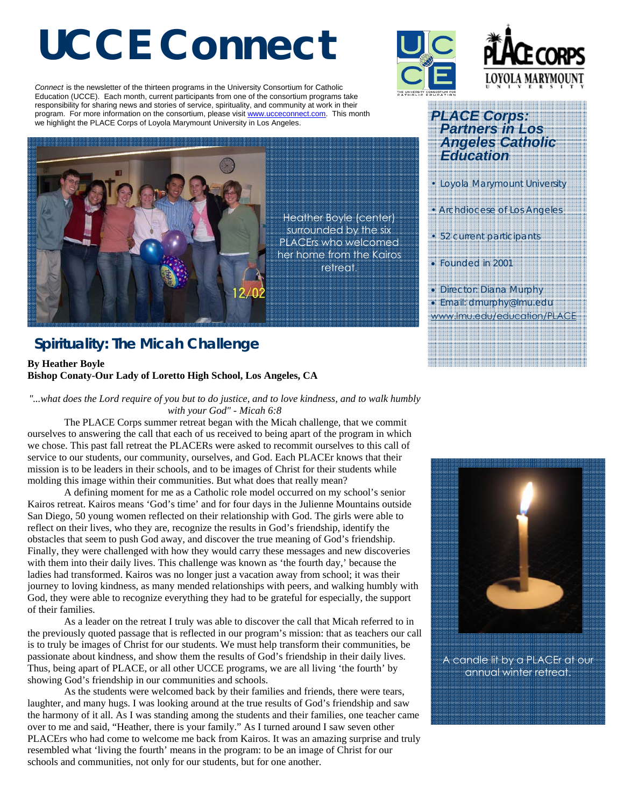# **UCCE Connect**

*Connect* is the newsletter of the thirteen programs in the University Consortium for Catholic Education (UCCE). Each month, current participants from one of the consortium programs take responsibility for sharing news and stories of service, spirituality, and community at work in their program. For more information on the consortium, please visit www.ucceconnect.com. This month we highlight the PLACE Corps of Loyola Marymount University in Los Angeles.



## **Spirituality: The Micah Challenge**

#### **By Heather Boyle Bishop Conaty-Our Lady of Loretto High School, Los Angeles, CA**

*"...what does the Lord require of you but to do justice, and to love kindness, and to walk humbly with your God" - Micah 6:8* 

The PLACE Corps summer retreat began with the Micah challenge, that we commit ourselves to answering the call that each of us received to being apart of the program in which we chose. This past fall retreat the PLACERs were asked to recommit ourselves to this call of service to our students, our community, ourselves, and God. Each PLACEr knows that their mission is to be leaders in their schools, and to be images of Christ for their students while molding this image within their communities. But what does that really mean?

 A defining moment for me as a Catholic role model occurred on my school's senior Kairos retreat. Kairos means 'God's time' and for four days in the Julienne Mountains outside San Diego, 50 young women reflected on their relationship with God. The girls were able to reflect on their lives, who they are, recognize the results in God's friendship, identify the obstacles that seem to push God away, and discover the true meaning of God's friendship. Finally, they were challenged with how they would carry these messages and new discoveries with them into their daily lives. This challenge was known as 'the fourth day,' because the ladies had transformed. Kairos was no longer just a vacation away from school; it was their journey to loving kindness, as many mended relationships with peers, and walking humbly with God, they were able to recognize everything they had to be grateful for especially, the support of their families.

As a leader on the retreat I truly was able to discover the call that Micah referred to in the previously quoted passage that is reflected in our program's mission: that as teachers our call is to truly be images of Christ for our students. We must help transform their communities, be passionate about kindness, and show them the results of God's friendship in their daily lives. Thus, being apart of PLACE, or all other UCCE programs, we are all living 'the fourth' by showing God's friendship in our communities and schools.

 As the students were welcomed back by their families and friends, there were tears, laughter, and many hugs. I was looking around at the true results of God's friendship and saw the harmony of it all. As I was standing among the students and their families, one teacher came over to me and said, "Heather, there is your family." As I turned around I saw seven other PLACErs who had come to welcome me back from Kairos. It was an amazing surprise and truly resembled what 'living the fourth' means in the program: to be an image of Christ for our schools and communities, not only for our students, but for one another.



Heather Boyle (center) surrounded by the six

retreat.



### *PLACE Corps: Partners in Los Angeles Catholic Education*

*• Loyola Marymount University* 

*• Archdiocese of Los Angeles* 

*• 52 current participants* 

• *Founded in 2001* 

• *Director: Diana Murphy*  • *Email: dmurphy@lmu.edu*  www.lmu.edu/education/PLACE



A candle lit by a PLACEr at our annual winter retreat.